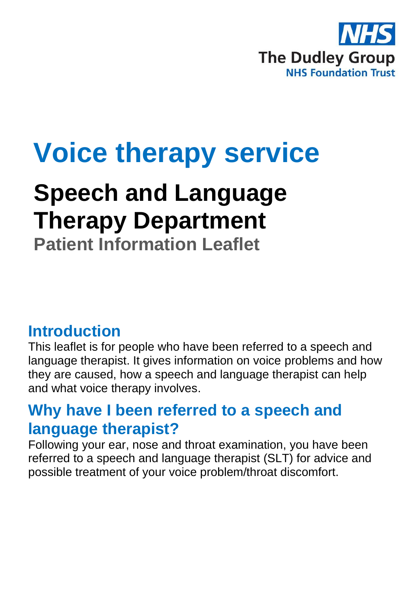

# **Voice therapy service**

## **Speech and Language Therapy Department**

**Patient Information Leaflet**

#### **Introduction**

This leaflet is for people who have been referred to a speech and language therapist. It gives information on voice problems and how they are caused, how a speech and language therapist can help and what voice therapy involves.

#### **Why have I been referred to a speech and language therapist?**

Following your ear, nose and throat examination, you have been referred to a speech and language therapist (SLT) for advice and possible treatment of your voice problem/throat discomfort.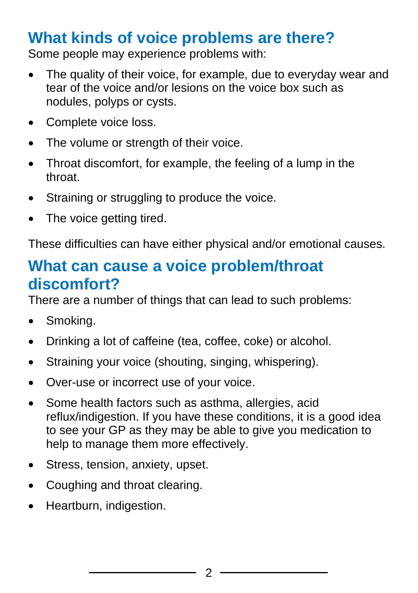#### **What kinds of voice problems are there?**

Some people may experience problems with:

- The quality of their voice, for example, due to everyday wear and tear of the voice and/or lesions on the voice box such as nodules, polyps or cysts.
- Complete voice loss.
- The volume or strength of their voice.
- Throat discomfort, for example, the feeling of a lump in the throat.
- Straining or struggling to produce the voice.
- The voice getting tired.

These difficulties can have either physical and/or emotional causes.

#### **What can cause a voice problem/throat discomfort?**

There are a number of things that can lead to such problems:

- Smoking.
- Drinking a lot of caffeine (tea, coffee, coke) or alcohol.
- Straining your voice (shouting, singing, whispering).
- Over-use or incorrect use of your voice.
- Some health factors such as asthma, allergies, acid reflux/indigestion. If you have these conditions, it is a good idea to see your GP as they may be able to give you medication to help to manage them more effectively.
- Stress, tension, anxiety, upset.
- Coughing and throat clearing.
- Heartburn, indigestion.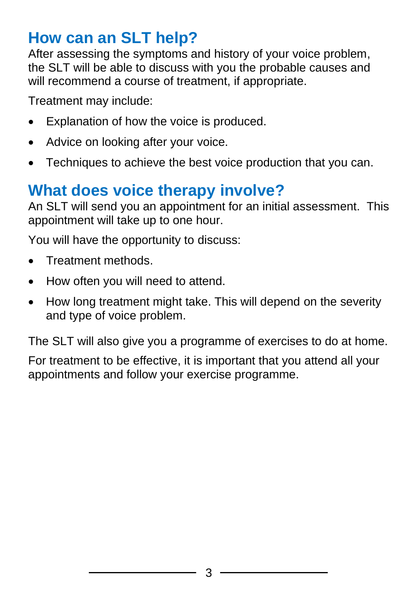#### **How can an SLT help?**

After assessing the symptoms and history of your voice problem, the SLT will be able to discuss with you the probable causes and will recommend a course of treatment, if appropriate.

Treatment may include:

- Explanation of how the voice is produced.
- Advice on looking after your voice.
- Techniques to achieve the best voice production that you can.

### **What does voice therapy involve?**

An SLT will send you an appointment for an initial assessment. This appointment will take up to one hour.

You will have the opportunity to discuss:

- Treatment methods.
- How often you will need to attend.
- How long treatment might take. This will depend on the severity and type of voice problem.

The SLT will also give you a programme of exercises to do at home.

For treatment to be effective, it is important that you attend all your appointments and follow your exercise programme.